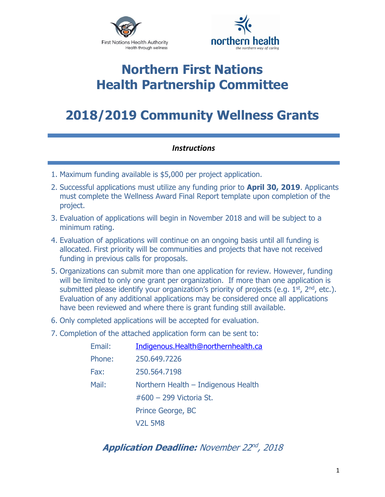



### **Northern First Nations Health Partnership Committee**

## **2018/2019 Community Wellness Grants**

### *Instructions*

- 1. Maximum funding available is \$5,000 per project application.
- 2. Successful applications must utilize any funding prior to **April 30, 2019**. Applicants must complete the Wellness Award Final Report template upon completion of the project.
- 3. Evaluation of applications will begin in November 2018 and will be subject to a minimum rating.
- 4. Evaluation of applications will continue on an ongoing basis until all funding is allocated. First priority will be communities and projects that have not received funding in previous calls for proposals.
- 5. Organizations can submit more than one application for review. However, funding will be limited to only one grant per organization. If more than one application is submitted please identify your organization's priority of projects (e.g.  $1<sup>st</sup>$ ,  $2<sup>nd</sup>$ , etc.). Evaluation of any additional applications may be considered once all applications have been reviewed and where there is grant funding still available.
- 6. Only completed applications will be accepted for evaluation.
- 7. Completion of the attached application form can be sent to:

| Email: | Indigenous.Health@northernhealth.ca |  |  |
|--------|-------------------------------------|--|--|
| Phone: | 250,649,7226                        |  |  |
| Fax:   | 250.564.7198                        |  |  |
| Mail:  | Northern Health - Indigenous Health |  |  |
|        | $\#600 - 299$ Victoria St.          |  |  |
|        | Prince George, BC                   |  |  |
|        | <b>V2L 5M8</b>                      |  |  |

### **Application Deadline:** November 22nd, 2018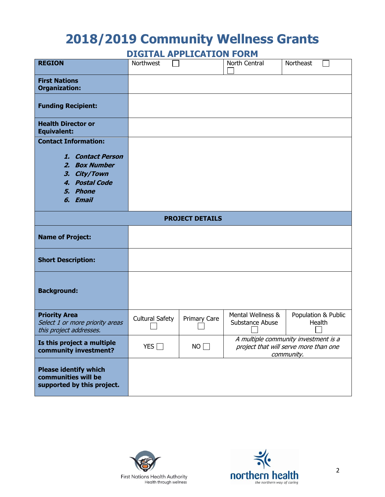# **2018/2019 Community Wellness Grants**

**DIGITAL APPLICATION FORM**

| <b>REGION</b>                                                                                                                  | Northwest              |              | North Central                                                                               | Northeast                     |  |  |  |
|--------------------------------------------------------------------------------------------------------------------------------|------------------------|--------------|---------------------------------------------------------------------------------------------|-------------------------------|--|--|--|
| <b>First Nations</b><br><b>Organization:</b>                                                                                   |                        |              |                                                                                             |                               |  |  |  |
| <b>Funding Recipient:</b>                                                                                                      |                        |              |                                                                                             |                               |  |  |  |
| <b>Health Director or</b><br><b>Equivalent:</b>                                                                                |                        |              |                                                                                             |                               |  |  |  |
| <b>Contact Information:</b><br>1. Contact Person<br>2. Box Number<br>City/Town<br>З.<br>4. Postal Code<br>5. Phone<br>6. Email |                        |              |                                                                                             |                               |  |  |  |
| <b>PROJECT DETAILS</b>                                                                                                         |                        |              |                                                                                             |                               |  |  |  |
| <b>Name of Project:</b>                                                                                                        |                        |              |                                                                                             |                               |  |  |  |
| <b>Short Description:</b>                                                                                                      |                        |              |                                                                                             |                               |  |  |  |
| <b>Background:</b>                                                                                                             |                        |              |                                                                                             |                               |  |  |  |
| <b>Priority Area</b><br>Select 1 or more priority areas<br>this project addresses.                                             | <b>Cultural Safety</b> | Primary Care | Mental Wellness &<br>Substance Abuse                                                        | Population & Public<br>Health |  |  |  |
| Is this project a multiple<br>community investment?                                                                            | YES $\Box$             | NO           | A multiple community investment is a<br>project that will serve more than one<br>community. |                               |  |  |  |
| <b>Please identify which</b><br>communities will be<br>supported by this project.                                              |                        |              |                                                                                             |                               |  |  |  |



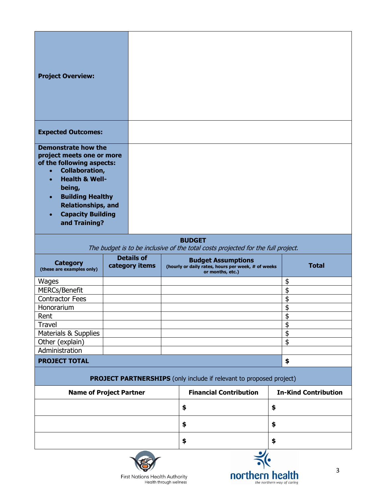| <b>Project Overview:</b>                                                                                                                                                                                                                                                                         |                                     |  |                                                                                                     |                             |              |  |  |
|--------------------------------------------------------------------------------------------------------------------------------------------------------------------------------------------------------------------------------------------------------------------------------------------------|-------------------------------------|--|-----------------------------------------------------------------------------------------------------|-----------------------------|--------------|--|--|
| <b>Expected Outcomes:</b>                                                                                                                                                                                                                                                                        |                                     |  |                                                                                                     |                             |              |  |  |
| <b>Demonstrate how the</b><br>project meets one or more<br>of the following aspects:<br><b>Collaboration,</b><br>$\bullet$<br><b>Health &amp; Well-</b><br>$\bullet$<br>being,<br><b>Building Healthy</b><br><b>Relationships, and</b><br><b>Capacity Building</b><br>$\bullet$<br>and Training? |                                     |  |                                                                                                     |                             |              |  |  |
| <b>BUDGET</b><br>The budget is to be inclusive of the total costs projected for the full project.                                                                                                                                                                                                |                                     |  |                                                                                                     |                             |              |  |  |
| <b>Category</b><br>(these are examples only)                                                                                                                                                                                                                                                     | <b>Details of</b><br>category items |  | <b>Budget Assumptions</b><br>(hourly or daily rates, hours per week, # of weeks<br>or months, etc.) |                             | <b>Total</b> |  |  |
| Wages                                                                                                                                                                                                                                                                                            |                                     |  |                                                                                                     |                             | \$           |  |  |
| <b>MERCs/Benefit</b>                                                                                                                                                                                                                                                                             |                                     |  |                                                                                                     |                             | \$           |  |  |
| <b>Contractor Fees</b>                                                                                                                                                                                                                                                                           |                                     |  |                                                                                                     |                             | \$           |  |  |
| Honorarium                                                                                                                                                                                                                                                                                       |                                     |  |                                                                                                     |                             | \$           |  |  |
| Rent                                                                                                                                                                                                                                                                                             |                                     |  |                                                                                                     |                             | \$<br>\$     |  |  |
| <b>Travel</b><br>Materials & Supplies                                                                                                                                                                                                                                                            |                                     |  |                                                                                                     |                             | \$           |  |  |
| Other (explain)                                                                                                                                                                                                                                                                                  |                                     |  |                                                                                                     |                             | \$           |  |  |
| Administration                                                                                                                                                                                                                                                                                   |                                     |  |                                                                                                     |                             |              |  |  |
| <b>PROJECT TOTAL</b>                                                                                                                                                                                                                                                                             |                                     |  |                                                                                                     |                             | \$           |  |  |
| <b>PROJECT PARTNERSHIPS</b> (only include if relevant to proposed project)                                                                                                                                                                                                                       |                                     |  |                                                                                                     |                             |              |  |  |
| <b>Name of Project Partner</b>                                                                                                                                                                                                                                                                   |                                     |  | <b>Financial Contribution</b>                                                                       | <b>In-Kind Contribution</b> |              |  |  |
|                                                                                                                                                                                                                                                                                                  |                                     |  | \$                                                                                                  | \$                          |              |  |  |
|                                                                                                                                                                                                                                                                                                  |                                     |  | \$                                                                                                  | \$                          |              |  |  |
|                                                                                                                                                                                                                                                                                                  |                                     |  |                                                                                                     |                             |              |  |  |